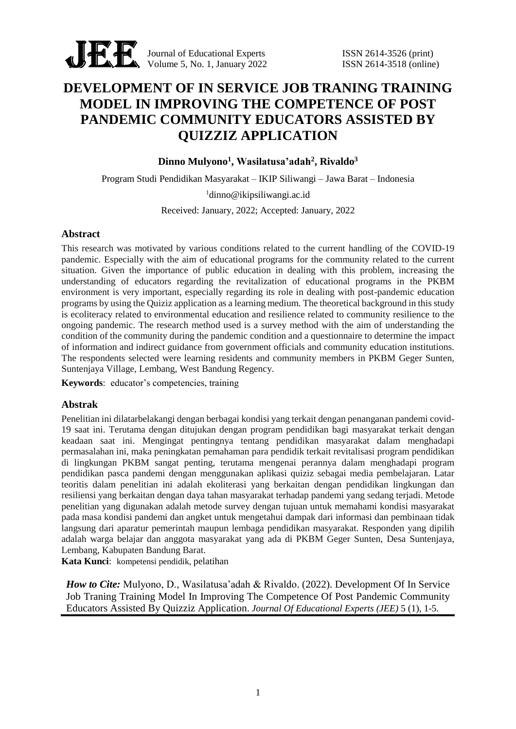

Journal of Educational Experts ISSN 2614-3526 (print) Volume 5, No. 1, January 2022 ISSN 2614-3518 (online)

# **DEVELOPMENT OF IN SERVICE JOB TRANING TRAINING MODEL IN IMPROVING THE COMPETENCE OF POST PANDEMIC COMMUNITY EDUCATORS ASSISTED BY QUIZZIZ APPLICATION**

**Dinno Mulyono<sup>1</sup> , Wasilatusa'adah<sup>2</sup> , Rivaldo<sup>3</sup>**

Program Studi Pendidikan Masyarakat – IKIP Siliwangi – Jawa Barat – Indonesia

<sup>1</sup>dinno@ikipsiliwangi.ac.id

Received: January, 2022; Accepted: January, 2022

## **Abstract**

This research was motivated by various conditions related to the current handling of the COVID-19 pandemic. Especially with the aim of educational programs for the community related to the current situation. Given the importance of public education in dealing with this problem, increasing the understanding of educators regarding the revitalization of educational programs in the PKBM environment is very important, especially regarding its role in dealing with post-pandemic education programs by using the Quiziz application as a learning medium. The theoretical background in this study is ecoliteracy related to environmental education and resilience related to community resilience to the ongoing pandemic. The research method used is a survey method with the aim of understanding the condition of the community during the pandemic condition and a questionnaire to determine the impact of information and indirect guidance from government officials and community education institutions. The respondents selected were learning residents and community members in PKBM Geger Sunten, Suntenjaya Village, Lembang, West Bandung Regency.

**Keywords**: educator's competencies, training

## **Abstrak**

Penelitian ini dilatarbelakangi dengan berbagai kondisi yang terkait dengan penanganan pandemi covid-19 saat ini. Terutama dengan ditujukan dengan program pendidikan bagi masyarakat terkait dengan keadaan saat ini. Mengingat pentingnya tentang pendidikan masyarakat dalam menghadapi permasalahan ini, maka peningkatan pemahaman para pendidik terkait revitalisasi program pendidikan di lingkungan PKBM sangat penting, terutama mengenai perannya dalam menghadapi program pendidikan pasca pandemi dengan menggunakan aplikasi quiziz sebagai media pembelajaran. Latar teoritis dalam penelitian ini adalah ekoliterasi yang berkaitan dengan pendidikan lingkungan dan resiliensi yang berkaitan dengan daya tahan masyarakat terhadap pandemi yang sedang terjadi. Metode penelitian yang digunakan adalah metode survey dengan tujuan untuk memahami kondisi masyarakat pada masa kondisi pandemi dan angket untuk mengetahui dampak dari informasi dan pembinaan tidak langsung dari aparatur pemerintah maupun lembaga pendidikan masyarakat. Responden yang dipilih adalah warga belajar dan anggota masyarakat yang ada di PKBM Geger Sunten, Desa Suntenjaya, Lembang, Kabupaten Bandung Barat.

**Kata Kunci**: kompetensi pendidik, pelatihan

*How to Cite:* Mulyono, D., Wasilatusa'adah & Rivaldo. (2022). Development Of In Service Job Traning Training Model In Improving The Competence Of Post Pandemic Community Educators Assisted By Quizziz Application. *Journal Of Educational Experts (JEE)* 5 (1), 1-5.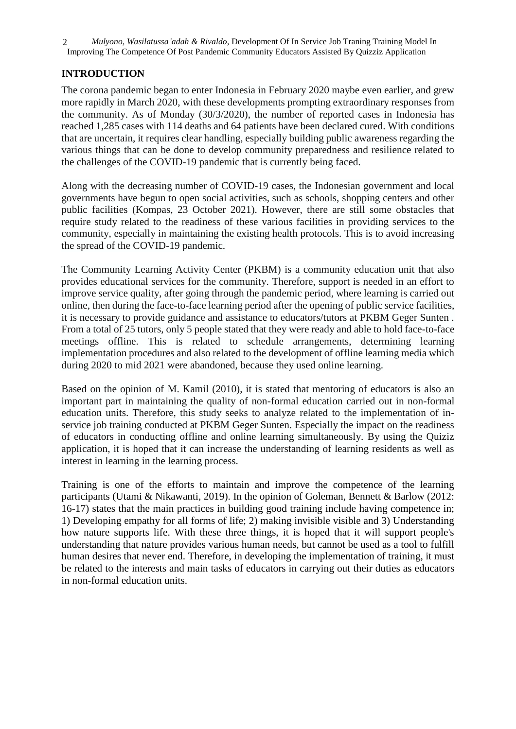*Mulyono, Wasilatussa'adah & Rivaldo*, Development Of In Service Job Traning Training Model In Improving The Competence Of Post Pandemic Community Educators Assisted By Quizziz Application 2

# **INTRODUCTION**

The corona pandemic began to enter Indonesia in February 2020 maybe even earlier, and grew more rapidly in March 2020, with these developments prompting extraordinary responses from the community. As of Monday (30/3/2020), the number of reported cases in Indonesia has reached 1,285 cases with 114 deaths and 64 patients have been declared cured. With conditions that are uncertain, it requires clear handling, especially building public awareness regarding the various things that can be done to develop community preparedness and resilience related to the challenges of the COVID-19 pandemic that is currently being faced.

Along with the decreasing number of COVID-19 cases, the Indonesian government and local governments have begun to open social activities, such as schools, shopping centers and other public facilities (Kompas, 23 October 2021). However, there are still some obstacles that require study related to the readiness of these various facilities in providing services to the community, especially in maintaining the existing health protocols. This is to avoid increasing the spread of the COVID-19 pandemic.

The Community Learning Activity Center (PKBM) is a community education unit that also provides educational services for the community. Therefore, support is needed in an effort to improve service quality, after going through the pandemic period, where learning is carried out online, then during the face-to-face learning period after the opening of public service facilities, it is necessary to provide guidance and assistance to educators/tutors at PKBM Geger Sunten . From a total of 25 tutors, only 5 people stated that they were ready and able to hold face-to-face meetings offline. This is related to schedule arrangements, determining learning implementation procedures and also related to the development of offline learning media which during 2020 to mid 2021 were abandoned, because they used online learning.

Based on the opinion of M. Kamil (2010), it is stated that mentoring of educators is also an important part in maintaining the quality of non-formal education carried out in non-formal education units. Therefore, this study seeks to analyze related to the implementation of inservice job training conducted at PKBM Geger Sunten. Especially the impact on the readiness of educators in conducting offline and online learning simultaneously. By using the Quiziz application, it is hoped that it can increase the understanding of learning residents as well as interest in learning in the learning process.

Training is one of the efforts to maintain and improve the competence of the learning participants (Utami & Nikawanti, 2019). In the opinion of Goleman, Bennett & Barlow (2012: 16-17) states that the main practices in building good training include having competence in; 1) Developing empathy for all forms of life; 2) making invisible visible and 3) Understanding how nature supports life. With these three things, it is hoped that it will support people's understanding that nature provides various human needs, but cannot be used as a tool to fulfill human desires that never end. Therefore, in developing the implementation of training, it must be related to the interests and main tasks of educators in carrying out their duties as educators in non-formal education units.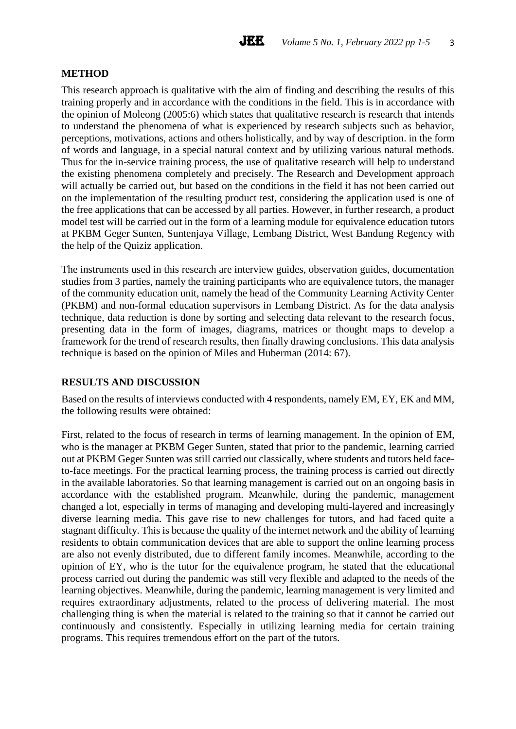## **METHOD**

This research approach is qualitative with the aim of finding and describing the results of this training properly and in accordance with the conditions in the field. This is in accordance with the opinion of Moleong (2005:6) which states that qualitative research is research that intends to understand the phenomena of what is experienced by research subjects such as behavior, perceptions, motivations, actions and others holistically, and by way of description. in the form of words and language, in a special natural context and by utilizing various natural methods. Thus for the in-service training process, the use of qualitative research will help to understand the existing phenomena completely and precisely. The Research and Development approach will actually be carried out, but based on the conditions in the field it has not been carried out on the implementation of the resulting product test, considering the application used is one of the free applications that can be accessed by all parties. However, in further research, a product model test will be carried out in the form of a learning module for equivalence education tutors at PKBM Geger Sunten, Suntenjaya Village, Lembang District, West Bandung Regency with the help of the Quiziz application.

The instruments used in this research are interview guides, observation guides, documentation studies from 3 parties, namely the training participants who are equivalence tutors, the manager of the community education unit, namely the head of the Community Learning Activity Center (PKBM) and non-formal education supervisors in Lembang District. As for the data analysis technique, data reduction is done by sorting and selecting data relevant to the research focus, presenting data in the form of images, diagrams, matrices or thought maps to develop a framework for the trend of research results, then finally drawing conclusions. This data analysis technique is based on the opinion of Miles and Huberman (2014: 67).

# **RESULTS AND DISCUSSION**

Based on the results of interviews conducted with 4 respondents, namely EM, EY, EK and MM, the following results were obtained:

First, related to the focus of research in terms of learning management. In the opinion of EM, who is the manager at PKBM Geger Sunten, stated that prior to the pandemic, learning carried out at PKBM Geger Sunten was still carried out classically, where students and tutors held faceto-face meetings. For the practical learning process, the training process is carried out directly in the available laboratories. So that learning management is carried out on an ongoing basis in accordance with the established program. Meanwhile, during the pandemic, management changed a lot, especially in terms of managing and developing multi-layered and increasingly diverse learning media. This gave rise to new challenges for tutors, and had faced quite a stagnant difficulty. This is because the quality of the internet network and the ability of learning residents to obtain communication devices that are able to support the online learning process are also not evenly distributed, due to different family incomes. Meanwhile, according to the opinion of EY, who is the tutor for the equivalence program, he stated that the educational process carried out during the pandemic was still very flexible and adapted to the needs of the learning objectives. Meanwhile, during the pandemic, learning management is very limited and requires extraordinary adjustments, related to the process of delivering material. The most challenging thing is when the material is related to the training so that it cannot be carried out continuously and consistently. Especially in utilizing learning media for certain training programs. This requires tremendous effort on the part of the tutors.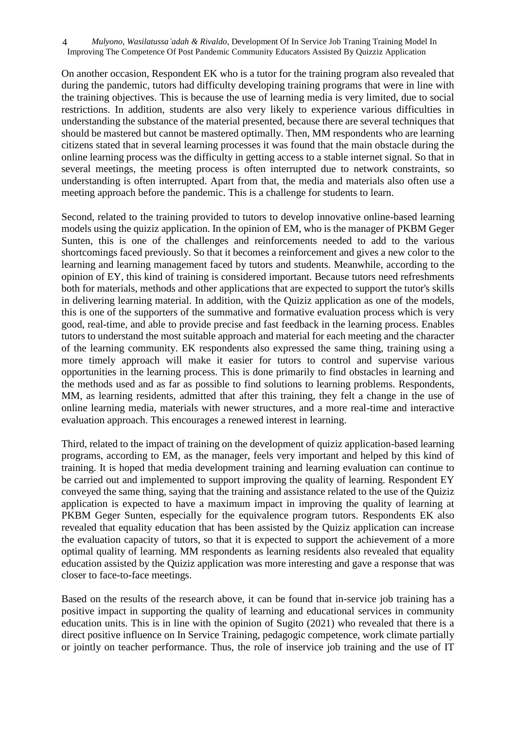*Mulyono, Wasilatussa'adah & Rivaldo*, Development Of In Service Job Traning Training Model In Improving The Competence Of Post Pandemic Community Educators Assisted By Quizziz Application 4

On another occasion, Respondent EK who is a tutor for the training program also revealed that during the pandemic, tutors had difficulty developing training programs that were in line with the training objectives. This is because the use of learning media is very limited, due to social restrictions. In addition, students are also very likely to experience various difficulties in understanding the substance of the material presented, because there are several techniques that should be mastered but cannot be mastered optimally. Then, MM respondents who are learning citizens stated that in several learning processes it was found that the main obstacle during the online learning process was the difficulty in getting access to a stable internet signal. So that in several meetings, the meeting process is often interrupted due to network constraints, so understanding is often interrupted. Apart from that, the media and materials also often use a meeting approach before the pandemic. This is a challenge for students to learn.

Second, related to the training provided to tutors to develop innovative online-based learning models using the quiziz application. In the opinion of EM, who is the manager of PKBM Geger Sunten, this is one of the challenges and reinforcements needed to add to the various shortcomings faced previously. So that it becomes a reinforcement and gives a new color to the learning and learning management faced by tutors and students. Meanwhile, according to the opinion of EY, this kind of training is considered important. Because tutors need refreshments both for materials, methods and other applications that are expected to support the tutor's skills in delivering learning material. In addition, with the Quiziz application as one of the models, this is one of the supporters of the summative and formative evaluation process which is very good, real-time, and able to provide precise and fast feedback in the learning process. Enables tutors to understand the most suitable approach and material for each meeting and the character of the learning community. EK respondents also expressed the same thing, training using a more timely approach will make it easier for tutors to control and supervise various opportunities in the learning process. This is done primarily to find obstacles in learning and the methods used and as far as possible to find solutions to learning problems. Respondents, MM, as learning residents, admitted that after this training, they felt a change in the use of online learning media, materials with newer structures, and a more real-time and interactive evaluation approach. This encourages a renewed interest in learning.

Third, related to the impact of training on the development of quiziz application-based learning programs, according to EM, as the manager, feels very important and helped by this kind of training. It is hoped that media development training and learning evaluation can continue to be carried out and implemented to support improving the quality of learning. Respondent EY conveyed the same thing, saying that the training and assistance related to the use of the Quiziz application is expected to have a maximum impact in improving the quality of learning at PKBM Geger Sunten, especially for the equivalence program tutors. Respondents EK also revealed that equality education that has been assisted by the Quiziz application can increase the evaluation capacity of tutors, so that it is expected to support the achievement of a more optimal quality of learning. MM respondents as learning residents also revealed that equality education assisted by the Quiziz application was more interesting and gave a response that was closer to face-to-face meetings.

Based on the results of the research above, it can be found that in-service job training has a positive impact in supporting the quality of learning and educational services in community education units. This is in line with the opinion of Sugito (2021) who revealed that there is a direct positive influence on In Service Training, pedagogic competence, work climate partially or jointly on teacher performance. Thus, the role of inservice job training and the use of IT